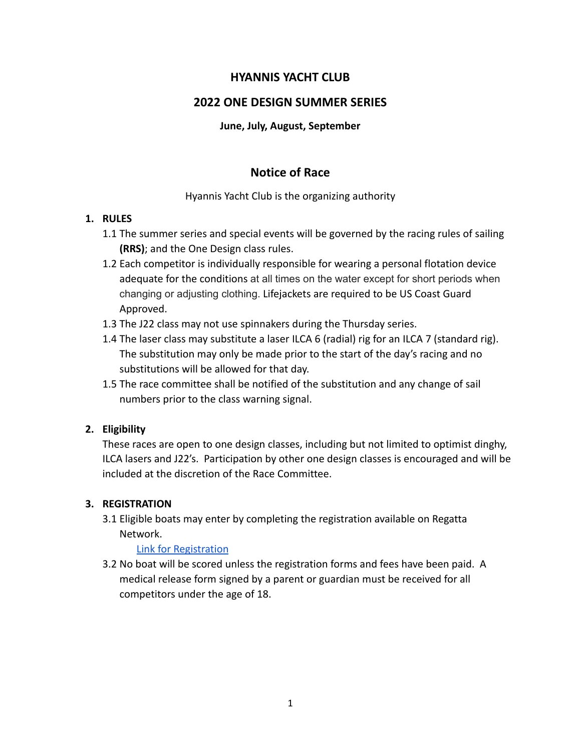# **HYANNIS YACHT CLUB**

# **2022 ONE DESIGN SUMMER SERIES**

#### **June, July, August, September**

# **Notice of Race**

Hyannis Yacht Club is the organizing authority

## **1. RULES**

- 1.1 The summer series and special events will be governed by the racing rules of sailing **(RRS)**; and the One Design class rules.
- 1.2 Each competitor is individually responsible for wearing a personal flotation device adequate for the conditions at all times on the water except for short periods when changing or adjusting clothing. Lifejackets are required to be US Coast Guard Approved.
- 1.3 The J22 class may not use spinnakers during the Thursday series.
- 1.4 The laser class may substitute a laser ILCA 6 (radial) rig for an ILCA 7 (standard rig). The substitution may only be made prior to the start of the day's racing and no substitutions will be allowed for that day.
- 1.5 The race committee shall be notified of the substitution and any change of sail numbers prior to the class warning signal.

## **2. Eligibility**

These races are open to one design classes, including but not limited to optimist dinghy, ILCA lasers and J22's. Participation by other one design classes is encouraged and will be included at the discretion of the Race Committee.

## **3. REGISTRATION**

3.1 Eligible boats may enter by completing the registration available on Regatta Network.

#### [Link for Registration](https://www.regattanetwork.com/clubmgmt/applet_club_events_combined.php?CLUB_ID=482)

3.2 No boat will be scored unless the registration forms and fees have been paid. A medical release form signed by a parent or guardian must be received for all competitors under the age of 18.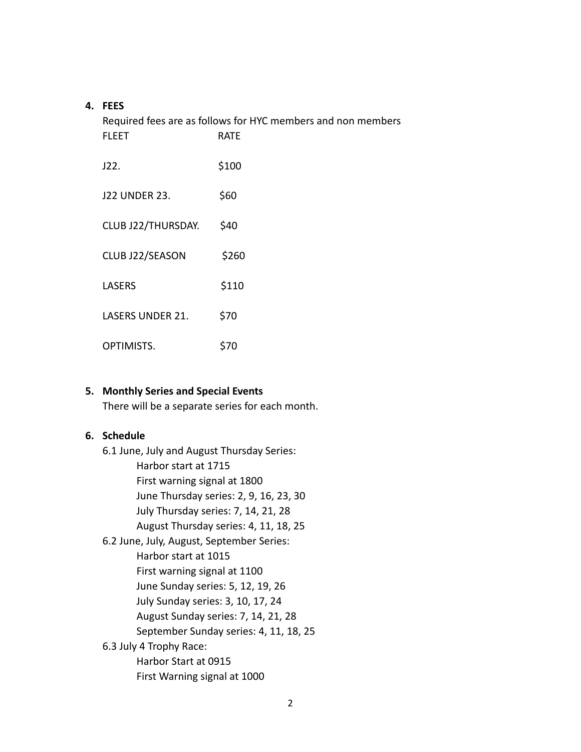### **4. FEES**

| Required fees are as follows for HYC members and non members<br><b>FLEET</b><br><b>RATE</b> |       |
|---------------------------------------------------------------------------------------------|-------|
| J22.                                                                                        | \$100 |
| <b>J22 UNDER 23.</b>                                                                        | \$60  |
| CLUB J22/THURSDAY.                                                                          | \$40  |
| CLUB J22/SEASON                                                                             | \$260 |
| <b>LASERS</b>                                                                               | \$110 |
| <b>LASERS UNDER 21.</b>                                                                     | \$70  |
| OPTIMISTS.                                                                                  | \$70  |

#### **5. Monthly Series and Special Events**

There will be a separate series for each month.

#### **6. Schedule**

6.1 June, July and August Thursday Series: Harbor start at 1715 First warning signal at 1800 June Thursday series: 2, 9, 16, 23, 30 July Thursday series: 7, 14, 21, 28 August Thursday series: 4, 11, 18, 25 6.2 June, July, August, September Series: Harbor start at 1015 First warning signal at 1100 June Sunday series: 5, 12, 19, 26 July Sunday series: 3, 10, 17, 24 August Sunday series: 7, 14, 21, 28 September Sunday series: 4, 11, 18, 25 6.3 July 4 Trophy Race: Harbor Start at 0915 First Warning signal at 1000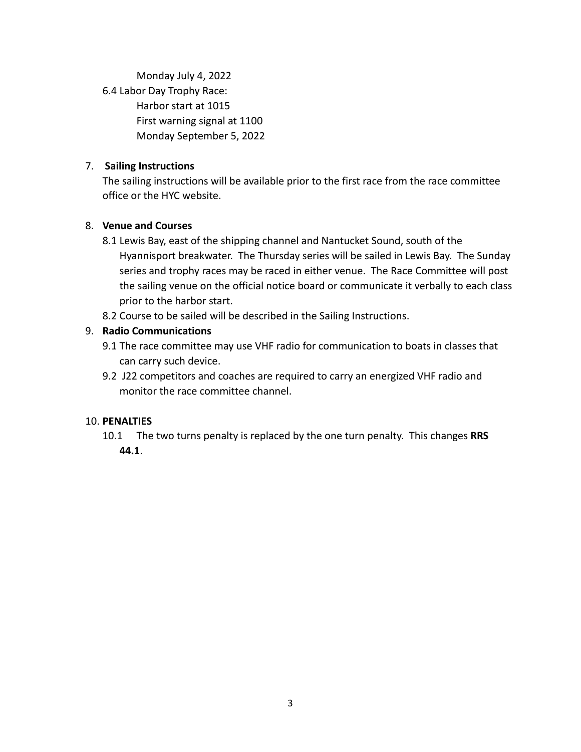Monday July 4, 2022 6.4 Labor Day Trophy Race: Harbor start at 1015 First warning signal at 1100 Monday September 5, 2022

## 7. **Sailing Instructions**

The sailing instructions will be available prior to the first race from the race committee office or the HYC website.

## 8. **Venue and Courses**

- 8.1 Lewis Bay, east of the shipping channel and Nantucket Sound, south of the Hyannisport breakwater. The Thursday series will be sailed in Lewis Bay. The Sunday series and trophy races may be raced in either venue. The Race Committee will post the sailing venue on the official notice board or communicate it verbally to each class prior to the harbor start.
- 8.2 Course to be sailed will be described in the Sailing Instructions.

## 9. **Radio Communications**

- 9.1 The race committee may use VHF radio for communication to boats in classes that can carry such device.
- 9.2 J22 competitors and coaches are required to carry an energized VHF radio and monitor the race committee channel.

#### 10. **PENALTIES**

10.1 The two turns penalty is replaced by the one turn penalty. This changes **RRS 44.1**.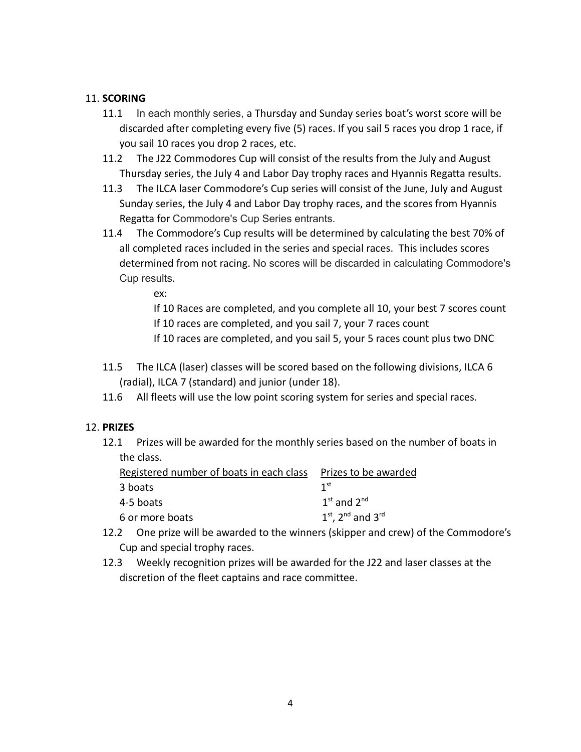## 11. **SCORING**

- 11.1 In each monthly series, a Thursday and Sunday series boat's worst score will be discarded after completing every five (5) races. If you sail 5 races you drop 1 race, if you sail 10 races you drop 2 races, etc.
- 11.2 The J22 Commodores Cup will consist of the results from the July and August Thursday series, the July 4 and Labor Day trophy races and Hyannis Regatta results.
- 11.3 The ILCA laser Commodore's Cup series will consist of the June, July and August Sunday series, the July 4 and Labor Day trophy races, and the scores from Hyannis Regatta for Commodore's Cup Series entrants.
- 11.4 The Commodore's Cup results will be determined by calculating the best 70% of all completed races included in the series and special races. This includes scores determined from not racing. No scores will be discarded in calculating Commodore's Cup results.

ex:

If 10 Races are completed, and you complete all 10, your best 7 scores count If 10 races are completed, and you sail 7, your 7 races count

If 10 races are completed, and you sail 5, your 5 races count plus two DNC

- 11.5 The ILCA (laser) classes will be scored based on the following divisions, ILCA 6 (radial), ILCA 7 (standard) and junior (under 18).
- 11.6 All fleets will use the low point scoring system for series and special races.

#### 12. **PRIZES**

12.1 Prizes will be awarded for the monthly series based on the number of boats in the class.

| Registered number of boats in each class Prizes to be awarded |                         |
|---------------------------------------------------------------|-------------------------|
| 3 boats                                                       | 1 <sup>st</sup>         |
| 4-5 boats                                                     | $1st$ and $2nd$         |
| 6 or more boats                                               | $1st$ , $2nd$ and $3rd$ |

- 12.2 One prize will be awarded to the winners (skipper and crew) of the Commodore's Cup and special trophy races.
- 12.3 Weekly recognition prizes will be awarded for the J22 and laser classes at the discretion of the fleet captains and race committee.